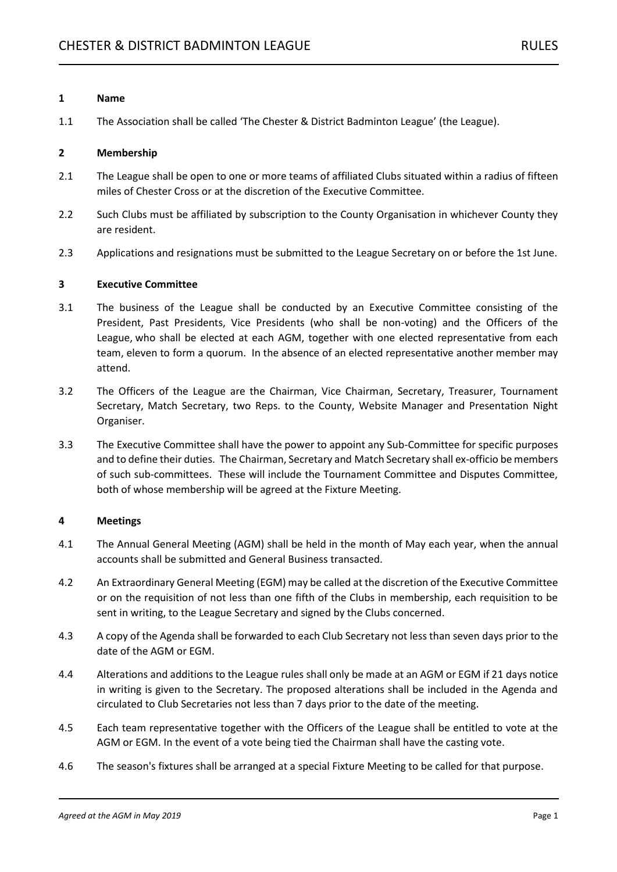## **1 Name**

1.1 The Association shall be called 'The Chester & District Badminton League' (the League).

## **2 Membership**

- 2.1 The League shall be open to one or more teams of affiliated Clubs situated within a radius of fifteen miles of Chester Cross or at the discretion of the Executive Committee.
- 2.2 Such Clubs must be affiliated by subscription to the County Organisation in whichever County they are resident.
- 2.3 Applications and resignations must be submitted to the League Secretary on or before the 1st June.

## **3 Executive Committee**

- 3.1 The business of the League shall be conducted by an Executive Committee consisting of the President, Past Presidents, Vice Presidents (who shall be non-voting) and the Officers of the League, who shall be elected at each AGM, together with one elected representative from each team, eleven to form a quorum. In the absence of an elected representative another member may attend.
- 3.2 The Officers of the League are the Chairman, Vice Chairman, Secretary, Treasurer, Tournament Secretary, Match Secretary, two Reps. to the County, Website Manager and Presentation Night Organiser.
- 3.3 The Executive Committee shall have the power to appoint any Sub-Committee for specific purposes and to define their duties. The Chairman, Secretary and Match Secretary shall ex-officio be members of such sub-committees. These will include the Tournament Committee and Disputes Committee, both of whose membership will be agreed at the Fixture Meeting.

# **4 Meetings**

- 4.1 The Annual General Meeting (AGM) shall be held in the month of May each year, when the annual accounts shall be submitted and General Business transacted.
- 4.2 An Extraordinary General Meeting (EGM) may be called at the discretion of the Executive Committee or on the requisition of not less than one fifth of the Clubs in membership, each requisition to be sent in writing, to the League Secretary and signed by the Clubs concerned.
- 4.3 A copy of the Agenda shall be forwarded to each Club Secretary not less than seven days prior to the date of the AGM or EGM.
- 4.4 Alterations and additions to the League rules shall only be made at an AGM or EGM if 21 days notice in writing is given to the Secretary. The proposed alterations shall be included in the Agenda and circulated to Club Secretaries not less than 7 days prior to the date of the meeting.
- 4.5 Each team representative together with the Officers of the League shall be entitled to vote at the AGM or EGM. In the event of a vote being tied the Chairman shall have the casting vote.
- 4.6 The season's fixtures shall be arranged at a special Fixture Meeting to be called for that purpose.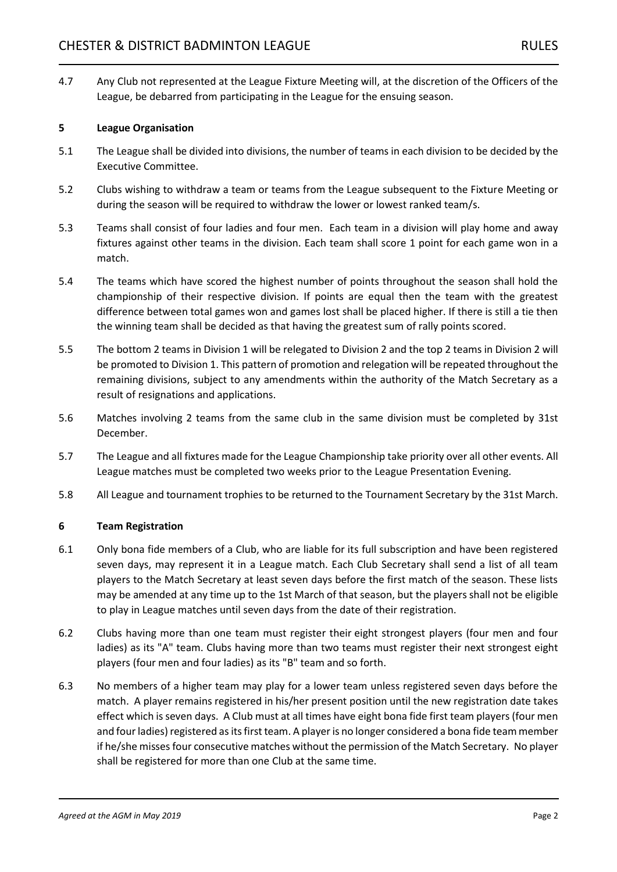4.7 Any Club not represented at the League Fixture Meeting will, at the discretion of the Officers of the League, be debarred from participating in the League for the ensuing season.

## **5 League Organisation**

- 5.1 The League shall be divided into divisions, the number of teams in each division to be decided by the Executive Committee.
- 5.2 Clubs wishing to withdraw a team or teams from the League subsequent to the Fixture Meeting or during the season will be required to withdraw the lower or lowest ranked team/s.
- 5.3 Teams shall consist of four ladies and four men. Each team in a division will play home and away fixtures against other teams in the division. Each team shall score 1 point for each game won in a match.
- 5.4 The teams which have scored the highest number of points throughout the season shall hold the championship of their respective division. If points are equal then the team with the greatest difference between total games won and games lost shall be placed higher. If there is still a tie then the winning team shall be decided as that having the greatest sum of rally points scored.
- 5.5 The bottom 2 teams in Division 1 will be relegated to Division 2 and the top 2 teams in Division 2 will be promoted to Division 1. This pattern of promotion and relegation will be repeated throughout the remaining divisions, subject to any amendments within the authority of the Match Secretary as a result of resignations and applications.
- 5.6 Matches involving 2 teams from the same club in the same division must be completed by 31st December.
- 5.7 The League and all fixtures made for the League Championship take priority over all other events. All League matches must be completed two weeks prior to the League Presentation Evening.
- 5.8 All League and tournament trophies to be returned to the Tournament Secretary by the 31st March.

#### **6 Team Registration**

- 6.1 Only bona fide members of a Club, who are liable for its full subscription and have been registered seven days, may represent it in a League match. Each Club Secretary shall send a list of all team players to the Match Secretary at least seven days before the first match of the season. These lists may be amended at any time up to the 1st March of that season, but the players shall not be eligible to play in League matches until seven days from the date of their registration.
- 6.2 Clubs having more than one team must register their eight strongest players (four men and four ladies) as its "A" team. Clubs having more than two teams must register their next strongest eight players (four men and four ladies) as its "B" team and so forth.
- 6.3 No members of a higher team may play for a lower team unless registered seven days before the match. A player remains registered in his/her present position until the new registration date takes effect which is seven days. A Club must at all times have eight bona fide first team players (four men and four ladies) registered as its first team. A player is no longer considered a bona fide team member if he/she misses four consecutive matches without the permission of the Match Secretary. No player shall be registered for more than one Club at the same time.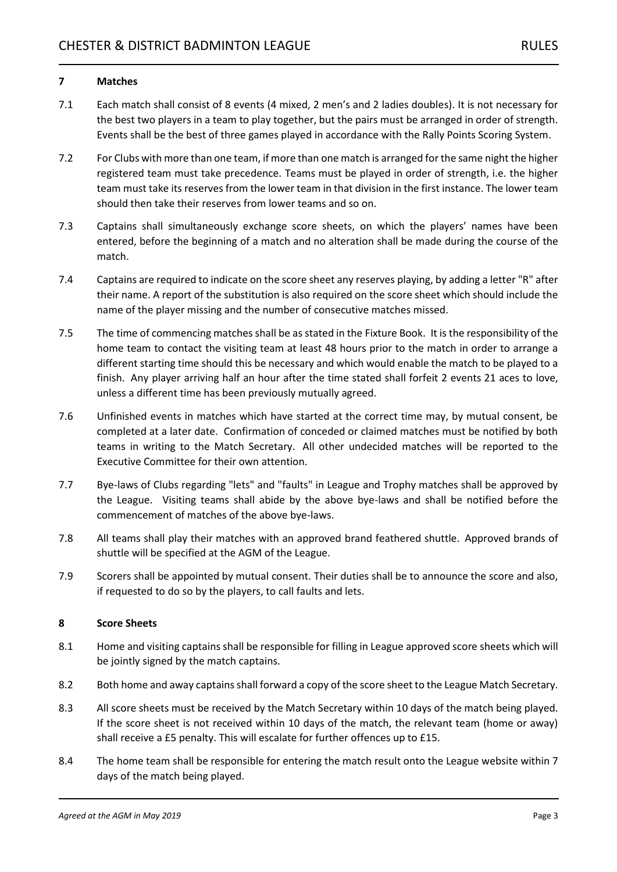# **7 Matches**

- 7.1 Each match shall consist of 8 events (4 mixed, 2 men's and 2 ladies doubles). It is not necessary for the best two players in a team to play together, but the pairs must be arranged in order of strength. Events shall be the best of three games played in accordance with the Rally Points Scoring System.
- 7.2 For Clubs with more than one team, if more than one match is arranged for the same night the higher registered team must take precedence. Teams must be played in order of strength, i.e. the higher team must take its reserves from the lower team in that division in the first instance. The lower team should then take their reserves from lower teams and so on.
- 7.3 Captains shall simultaneously exchange score sheets, on which the players' names have been entered, before the beginning of a match and no alteration shall be made during the course of the match.
- 7.4 Captains are required to indicate on the score sheet any reserves playing, by adding a letter "R" after their name. A report of the substitution is also required on the score sheet which should include the name of the player missing and the number of consecutive matches missed.
- 7.5 The time of commencing matches shall be as stated in the Fixture Book. It is the responsibility of the home team to contact the visiting team at least 48 hours prior to the match in order to arrange a different starting time should this be necessary and which would enable the match to be played to a finish. Any player arriving half an hour after the time stated shall forfeit 2 events 21 aces to love, unless a different time has been previously mutually agreed.
- 7.6 Unfinished events in matches which have started at the correct time may, by mutual consent, be completed at a later date. Confirmation of conceded or claimed matches must be notified by both teams in writing to the Match Secretary. All other undecided matches will be reported to the Executive Committee for their own attention.
- 7.7 Bye-laws of Clubs regarding "lets" and "faults" in League and Trophy matches shall be approved by the League. Visiting teams shall abide by the above bye-laws and shall be notified before the commencement of matches of the above bye-laws.
- 7.8 All teams shall play their matches with an approved brand feathered shuttle. Approved brands of shuttle will be specified at the AGM of the League.
- 7.9 Scorers shall be appointed by mutual consent. Their duties shall be to announce the score and also, if requested to do so by the players, to call faults and lets.

# **8 Score Sheets**

- 8.1 Home and visiting captains shall be responsible for filling in League approved score sheets which will be jointly signed by the match captains.
- 8.2 Both home and away captains shall forward a copy of the score sheet to the League Match Secretary.
- 8.3 All score sheets must be received by the Match Secretary within 10 days of the match being played. If the score sheet is not received within 10 days of the match, the relevant team (home or away) shall receive a £5 penalty. This will escalate for further offences up to £15.
- 8.4 The home team shall be responsible for entering the match result onto the League website within 7 days of the match being played.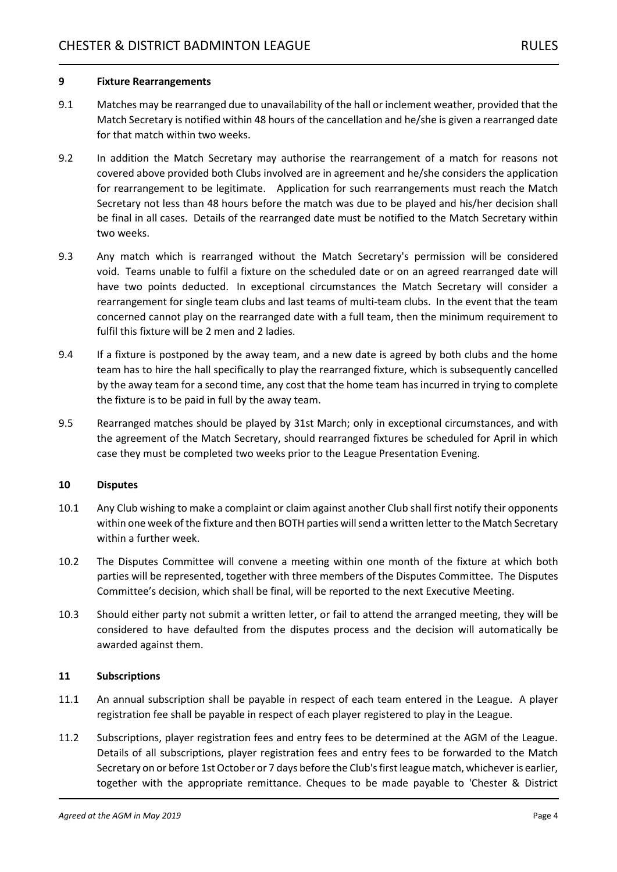#### **9 Fixture Rearrangements**

- 9.1 Matches may be rearranged due to unavailability of the hall or inclement weather, provided that the Match Secretary is notified within 48 hours of the cancellation and he/she is given a rearranged date for that match within two weeks.
- 9.2 In addition the Match Secretary may authorise the rearrangement of a match for reasons not covered above provided both Clubs involved are in agreement and he/she considers the application for rearrangement to be legitimate. Application for such rearrangements must reach the Match Secretary not less than 48 hours before the match was due to be played and his/her decision shall be final in all cases. Details of the rearranged date must be notified to the Match Secretary within two weeks.
- 9.3 Any match which is rearranged without the Match Secretary's permission will be considered void. Teams unable to fulfil a fixture on the scheduled date or on an agreed rearranged date will have two points deducted. In exceptional circumstances the Match Secretary will consider a rearrangement for single team clubs and last teams of multi-team clubs. In the event that the team concerned cannot play on the rearranged date with a full team, then the minimum requirement to fulfil this fixture will be 2 men and 2 ladies.
- 9.4 If a fixture is postponed by the away team, and a new date is agreed by both clubs and the home team has to hire the hall specifically to play the rearranged fixture, which is subsequently cancelled by the away team for a second time, any cost that the home team has incurred in trying to complete the fixture is to be paid in full by the away team.
- 9.5 Rearranged matches should be played by 31st March; only in exceptional circumstances, and with the agreement of the Match Secretary, should rearranged fixtures be scheduled for April in which case they must be completed two weeks prior to the League Presentation Evening.

#### **10 Disputes**

- 10.1 Any Club wishing to make a complaint or claim against another Club shall first notify their opponents within one week of the fixture and then BOTH parties will send a written letter to the Match Secretary within a further week.
- 10.2 The Disputes Committee will convene a meeting within one month of the fixture at which both parties will be represented, together with three members of the Disputes Committee. The Disputes Committee's decision, which shall be final, will be reported to the next Executive Meeting.
- 10.3 Should either party not submit a written letter, or fail to attend the arranged meeting, they will be considered to have defaulted from the disputes process and the decision will automatically be awarded against them.

# **11 Subscriptions**

- 11.1 An annual subscription shall be payable in respect of each team entered in the League. A player registration fee shall be payable in respect of each player registered to play in the League.
- 11.2 Subscriptions, player registration fees and entry fees to be determined at the AGM of the League. Details of all subscriptions, player registration fees and entry fees to be forwarded to the Match Secretary on or before 1st October or 7 days before the Club's first league match, whichever is earlier, together with the appropriate remittance. Cheques to be made payable to 'Chester & District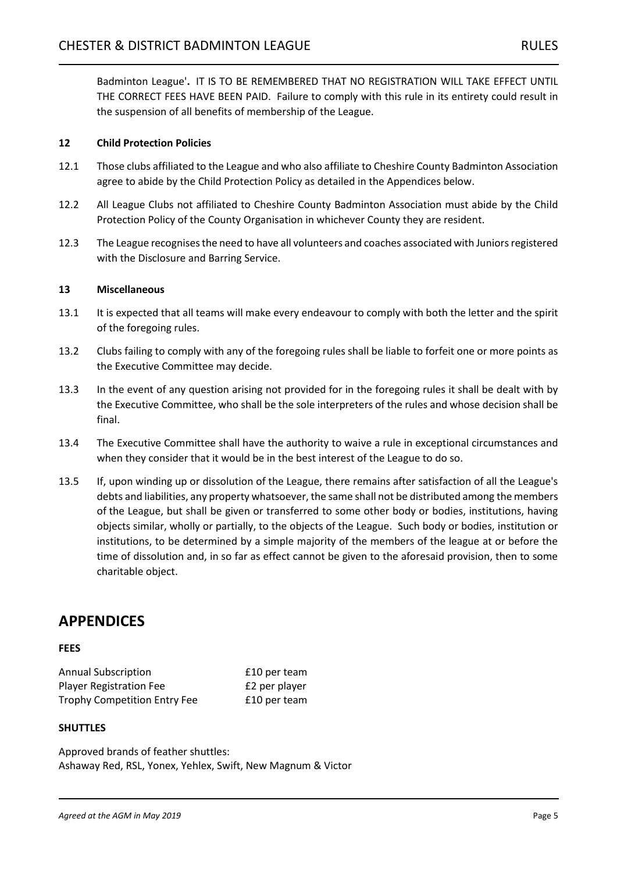Badminton League'**.** IT IS TO BE REMEMBERED THAT NO REGISTRATION WILL TAKE EFFECT UNTIL THE CORRECT FEES HAVE BEEN PAID. Failure to comply with this rule in its entirety could result in the suspension of all benefits of membership of the League.

# **12 Child Protection Policies**

- 12.1 Those clubs affiliated to the League and who also affiliate to Cheshire County Badminton Association agree to abide by the Child Protection Policy as detailed in the Appendices below.
- 12.2 All League Clubs not affiliated to Cheshire County Badminton Association must abide by the Child Protection Policy of the County Organisation in whichever County they are resident.
- 12.3 The League recognises the need to have all volunteers and coaches associated with Juniors registered with the Disclosure and Barring Service.

# **13 Miscellaneous**

- 13.1 It is expected that all teams will make every endeavour to comply with both the letter and the spirit of the foregoing rules.
- 13.2 Clubs failing to comply with any of the foregoing rules shall be liable to forfeit one or more points as the Executive Committee may decide.
- 13.3 In the event of any question arising not provided for in the foregoing rules it shall be dealt with by the Executive Committee, who shall be the sole interpreters of the rules and whose decision shall be final.
- 13.4 The Executive Committee shall have the authority to waive a rule in exceptional circumstances and when they consider that it would be in the best interest of the League to do so.
- 13.5 If, upon winding up or dissolution of the League, there remains after satisfaction of all the League's debts and liabilities, any property whatsoever, the same shall not be distributed among the members of the League, but shall be given or transferred to some other body or bodies, institutions, having objects similar, wholly or partially, to the objects of the League. Such body or bodies, institution or institutions, to be determined by a simple majority of the members of the league at or before the time of dissolution and, in so far as effect cannot be given to the aforesaid provision, then to some charitable object.

# **APPENDICES**

# **FEES**

Annual Subscription **E10** per team Player Registration Fee **E2** per player Trophy Competition Entry Fee E10 per team

# **SHUTTLES**

Approved brands of feather shuttles: Ashaway Red, RSL, Yonex, Yehlex, Swift, New Magnum & Victor